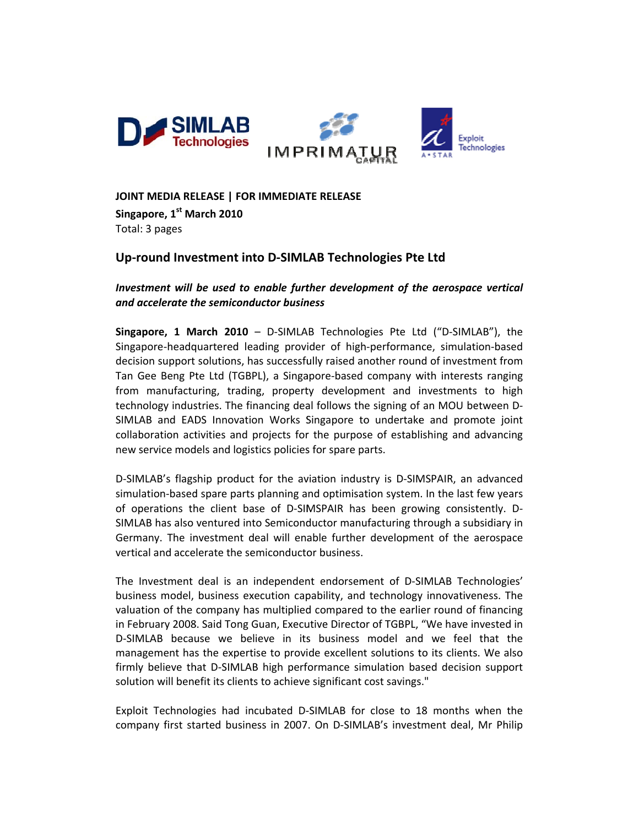

JOINT MEDIA RELEASE | FOR IMMEDIATE RELEASE

Singapore, 1st March 2010 Total: 3 pages

# Up-round Investment into D-SIMLAB Technologies Pte Ltd

Investment will be used to enable further development of the aerospace vertical and accelerate the semiconductor business

Singapore, 1 March 2010 - D-SIMLAB Technologies Pte Ltd ("D-SIMLAB"), the Singapore-headquartered leading provider of high-performance, simulation-based decision support solutions, has successfully raised another round of investment from Tan Gee Beng Pte Ltd (TGBPL), a Singapore-based company with interests ranging from manufacturing, trading, property development and investments to high technology industries. The financing deal follows the signing of an MOU between D-SIMLAB and EADS Innovation Works Singapore to undertake and promote joint collaboration activities and projects for the purpose of establishing and advancing new service models and logistics policies for spare parts.

D-SIMLAB's flagship product for the aviation industry is D-SIMSPAIR, an advanced simulation-based spare parts planning and optimisation system. In the last few years of operations the client base of D-SIMSPAIR has been growing consistently. D-SIMLAB has also ventured into Semiconductor manufacturing through a subsidiary in Germany. The investment deal will enable further development of the aerospace vertical and accelerate the semiconductor business.

The Investment deal is an independent endorsement of D-SIMLAB Technologies' business model, business execution capability, and technology innovativeness. The valuation of the company has multiplied compared to the earlier round of financing in February 2008. Said Tong Guan, Executive Director of TGBPL, "We have invested in D-SIMLAB because we believe in its business model and we feel that the management has the expertise to provide excellent solutions to its clients. We also firmly believe that D-SIMLAB high performance simulation based decision support solution will benefit its clients to achieve significant cost savings."

Exploit Technologies had incubated D-SIMLAB for close to 18 months when the company first started business in 2007. On D-SIMLAB's investment deal, Mr Philip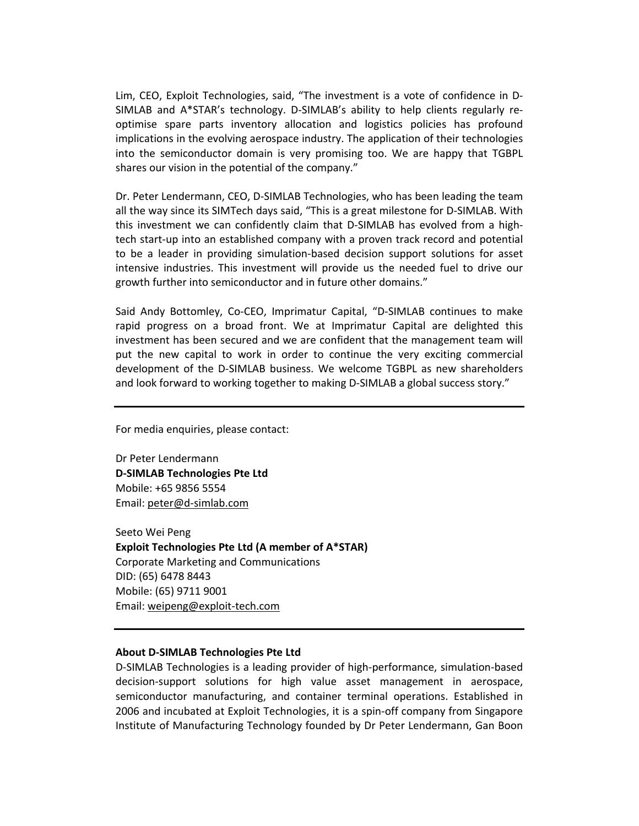Lim, CEO, Exploit Technologies, said, "The investment is a vote of confidence in D‐ SIMLAB and A\*STAR's technology. D‐SIMLAB's ability to help clients regularly re‐ optimise spare parts inventory allocation and logistics policies has profound implications in the evolving aerospace industry. The application of their technologies into the semiconductor domain is very promising too. We are happy that TGBPL shares our vision in the potential of the company."

Dr. Peter Lendermann, CEO, D‐SIMLAB Technologies, who has been leading the team all the way since its SIMTech days said, "This is a great milestone for D‐SIMLAB. With this investment we can confidently claim that D‐SIMLAB has evolved from a high‐ tech start‐up into an established company with a proven track record and potential to be a leader in providing simulation‐based decision support solutions for asset intensive industries. This investment will provide us the needed fuel to drive our growth further into semiconductor and in future other domains."

Said Andy Bottomley, Co‐CEO, Imprimatur Capital, "D‐SIMLAB continues to make rapid progress on a broad front. We at Imprimatur Capital are delighted this investment has been secured and we are confident that the management team will put the new capital to work in order to continue the very exciting commercial development of the D‐SIMLAB business. We welcome TGBPL as new shareholders and look forward to working together to making D‐SIMLAB a global success story."

For media enquiries, please contact:

Dr Peter Lendermann **D‐SIMLAB Technologies Pte Ltd** Mobile: +65 9856 5554 Email: peter@d‐simlab.com

Seeto Wei Peng **Exploit Technologies Pte Ltd (A member of A\*STAR)** Corporate Marketing and Communications DID: (65) 6478 8443 Mobile: (65) 9711 9001 Email: weipeng@exploit‐tech.com

#### **About D‐SIMLAB Technologies Pte Ltd**

D‐SIMLAB Technologies is a leading provider of high‐performance, simulation‐based decision‐support solutions for high value asset management in aerospace, semiconductor manufacturing, and container terminal operations. Established in 2006 and incubated at Exploit Technologies, it is a spin‐off company from Singapore Institute of Manufacturing Technology founded by Dr Peter Lendermann, Gan Boon